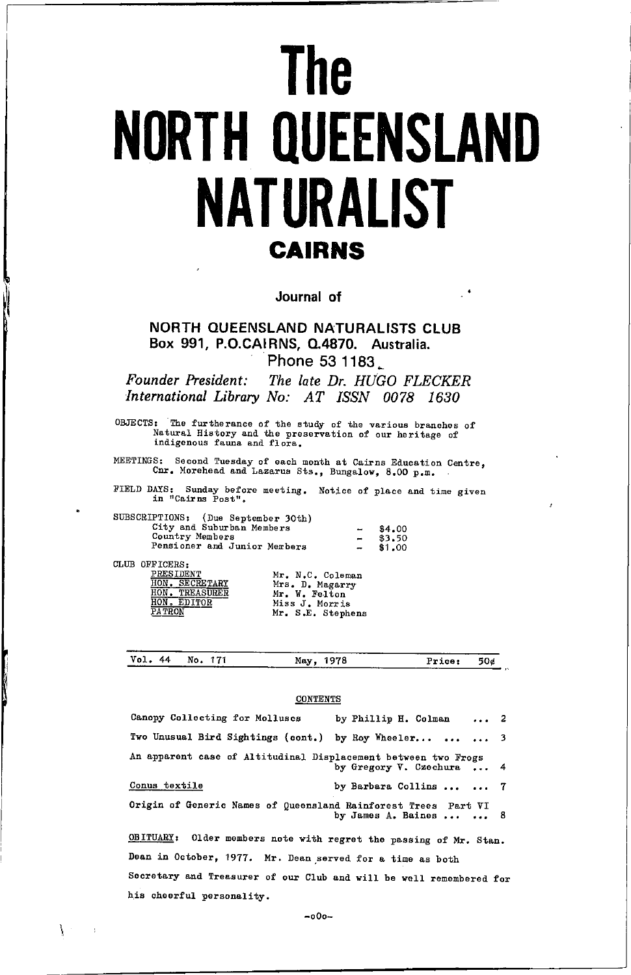# **The NORTH QUEENSLAND NATURALIST CAIRNS**

Journal of

NORTH QUEENSLAND NATURALISTS CLUB Box 991, P.O.CAIRNS, Q.4870. Australia. Phone 53 1183

Founder President: The late Dr. HUGO FLECKER International Library No: AT ISSN 0078 1630

OBJECTS: The furtherance of the study of the various branches of Natural History and the preservation of our heritage of indigenous fauna and flora.

MEETINGS: Second Tuesday of each month at Cairns Education Centre, Cnr. Morehead and Lazarus Sts., Bungalow, 8.00 p.m.

FIELD DAYS: Sunday before meeting. Notice of place and time given<br>in "Cairns Post".

| SUBSCRIPTIONS: (Due September 30th) |                          |        |
|-------------------------------------|--------------------------|--------|
| City and Suburban Members           | $\overline{\phantom{a}}$ | \$4.00 |
| Country Members                     | $\overline{\phantom{a}}$ | \$3.50 |
| Pensioner and Junior Merbers        | $\overline{\phantom{a}}$ | \$1,00 |

CLUB OFFICERS:

|               | PRESIDENT        |
|---------------|------------------|
| HON.          | <b>SECRETARY</b> |
| HON           | <b>TREASURER</b> |
| HON           | <b>EDITOR</b>    |
| <b>PATRON</b> |                  |

his cheerful personality.

| Mr. N.C. Coleman  |  |
|-------------------|--|
| Mrs. D. Magarry   |  |
| Mr. W. Felton     |  |
| Miss J. Morris    |  |
| Mr. S.E. Stephens |  |

| Vol. 44 No. 171 |  | May, 1978 | Price: 50d |  |
|-----------------|--|-----------|------------|--|
| $- - - - -$     |  |           |            |  |

#### **CONTENTS**

| Canopy Collecting for Molluscs                                      | by Phillip H. Colman  2   |  |  |  |
|---------------------------------------------------------------------|---------------------------|--|--|--|
| Two Unusual Bird Sightings (cont.) by Roy Wheeler   3               |                           |  |  |  |
| An apparent case of Altitudinal Displacement between two Frogs      | by Gregory V. Czechura  4 |  |  |  |
| Conus textile                                                       | by Barbara Collins   7    |  |  |  |
| Origin of Generic Names of Queensland Rainforest Trees Part VI      | by James A. Baines   8    |  |  |  |
| OBITUARY: Older members note with regret the passing of Mr. Stan.   |                           |  |  |  |
| Dean in October, 1977. Mr. Dean served for a time as both           |                           |  |  |  |
| Secretary and Treasurer of our Club and will be well remembered for |                           |  |  |  |

 $-000-$ 

 $\sim$  1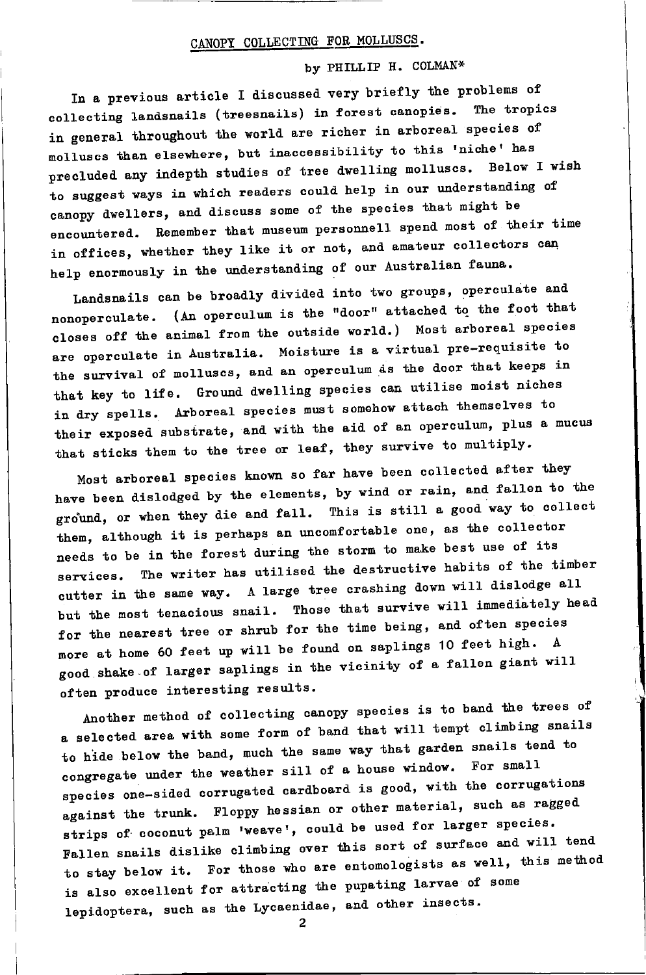# CANOPY COLLECTING FOR MOLLUSCS.

# by PHILLIP H. COLMAN\*

In a previous article I discussed very briefly the problems of collecting landsnails (treesnails) in forest canopies. The tropics in general throughout the world are richer in arboreal species of molluscs than elsewhere, but inaccessibility to this 'niche' has precluded any indepth studies of tree dwelling molluscs. Below I wish to suggest ways in which readers could help in our understanding of canopy dwellers, and discuss some of the species that might be encountered. Remember that museum personnell spend most of their time in offices, whether they like it or not, and amateur collectors can help enormously in the understanding of our Australian fauna.

Landsnails can be broadly divided into two groups, operculate and nonoperculate. (An operculum is the "door" attached to the foot that closes off the animal from the outside world.) Most arboreal species are operculate in Australia. Moisture is a virtual pre-requisite to the survival of molluscs, and an operculum as the door that keeps in that key to life. Ground dwelling species can utilise moist niches in dry spells. Arboreal species must somehow attach themselves to their exposed substrate, and with the aid of an operculum, plus a mucus that sticks them to the tree or leaf, they survive to multiply.

Most arboreal species known so far have been collected after they have been dislodged by the elements, by wind or rain, and fallen to the ground, or when they die and fall. This is still a good way to collect them, although it is perhaps an uncomfortable one, as the collector needs to be in the forest during the storm to make best use of its services. The writer has utilised the destructive habits of the timber cutter in the same way. A large tree crashing down will dislodge all but the most tenacious snail. Those that survive will immediately head for the nearest tree or shrub for the time being, and often species more at home 60 feet up will be found on saplings 10 feet high. A good shake of larger saplings in the vicinity of a fallen giant will often produce interesting results.

Another method of collecting canopy species is to band the trees of a selected area with some form of band that will tempt climbing snails to hide below the band, much the same way that garden snails tend to congregate under the weather sill of a house window. For small species one-sided corrugated cardboard is good, with the corrugations against the trunk. Floppy hessian or other material, such as ragged strips of coconut palm 'weave', could be used for larger species. Fallen snails dislike climbing over this sort of surface and will tend to stay below it. For those who are entomologists as well, this method is also excellent for attracting the pupating larvae of some lepidoptera, such as the Lycaenidae, and other insects.

 $\mathbf{2}$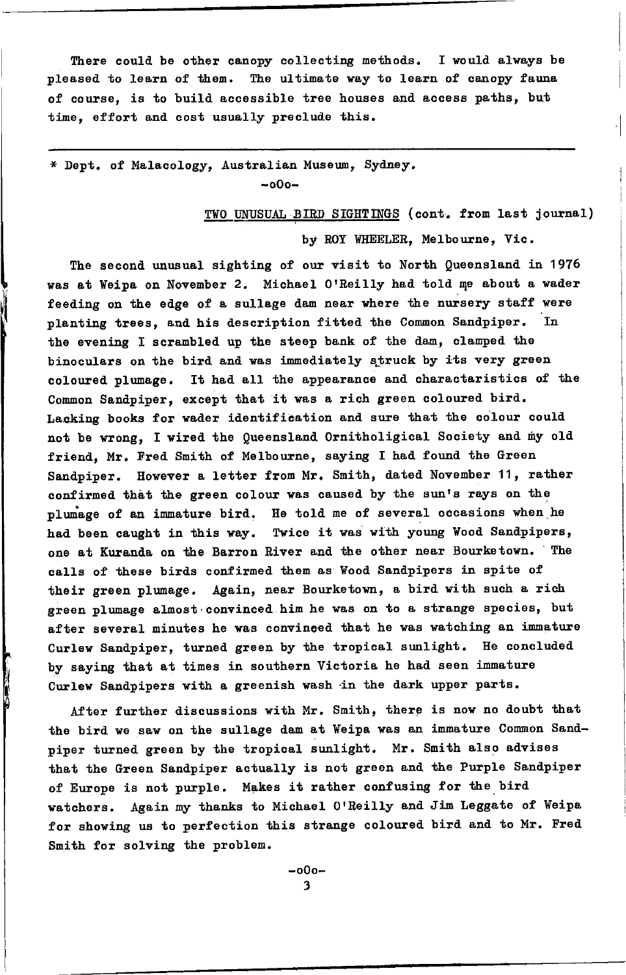There could be other canopy collecting methods. I would always be pleased to learn of them. The ultimate way to learn of canopy fauna of course, is to build accessible tree houses and access paths, but time, effort and cost usually preclude this.

\* Dept. of Malacology. Australian Museum, Sydney.  $-000 -$ 

TWO UNUSUAL BIRD SIGHTINGS (cont. from last journal)

by ROY WHEELER, Melbourne, Vic.

The second unusual sighting of our visit to North Queensland in 1976 was at Weipa on November 2. Michael O'Reilly had told me about a wader feeding on the edge of a sullage dam near where the nursery staff were planting trees, and his description fitted the Common Sandpiper. In the evening I scrambled up the steep bank of the dam, clamped the binoculars on the bird and was immediately struck by its very green coloured plumage. It had all the appearance and charactaristics of the Common Sandpiper, except that it was a rich green coloured bird. Lacking books for wader identification and sure that the colour could not be wrong, I wired the Queensland Ornitholigical Society and my old friend, Mr. Fred Smith of Melbourne, saying I had found the Green Sandpiper. However a letter from Mr. Smith, dated November 11, rather confirmed that the green colour was caused by the sun's rays on the plumage of an immature bird. He told me of several occasions when he had been caught in this way. Twice it was with young Wood Sandpipers, one at Kuranda on the Barron River and the other near Bourketown. The calls of these birds confirmed them as Wood Sandpipers in spite of their green plumage. Again, near Bourketown, a bird with such a rich green plumage almost convinced him he was on to a strange species, but after several minutes he was convinced that he was watching an immature Curlew Sandpiper, turned green by the tropical sunlight. He concluded by saying that at times in southern Victoria he had seen immature Curlew Sandpipers with a greenish wash in the dark upper parts.

After further discussions with Mr. Smith, there is now no doubt that the bird we saw on the sullage dam at Weipa was an immature Common Sandpiper turned green by the tropical sunlight. Mr. Smith also advises that the Green Sandpiper actually is not green and the Purple Sandpiper of Europe is not purple. Makes it rather confusing for the bird watchers. Again my thanks to Michael O'Reilly and Jim Leggate of Weipa for showing us to perfection this strange coloured bird and to Mr. Fred Smith for solving the problem.

> -000-3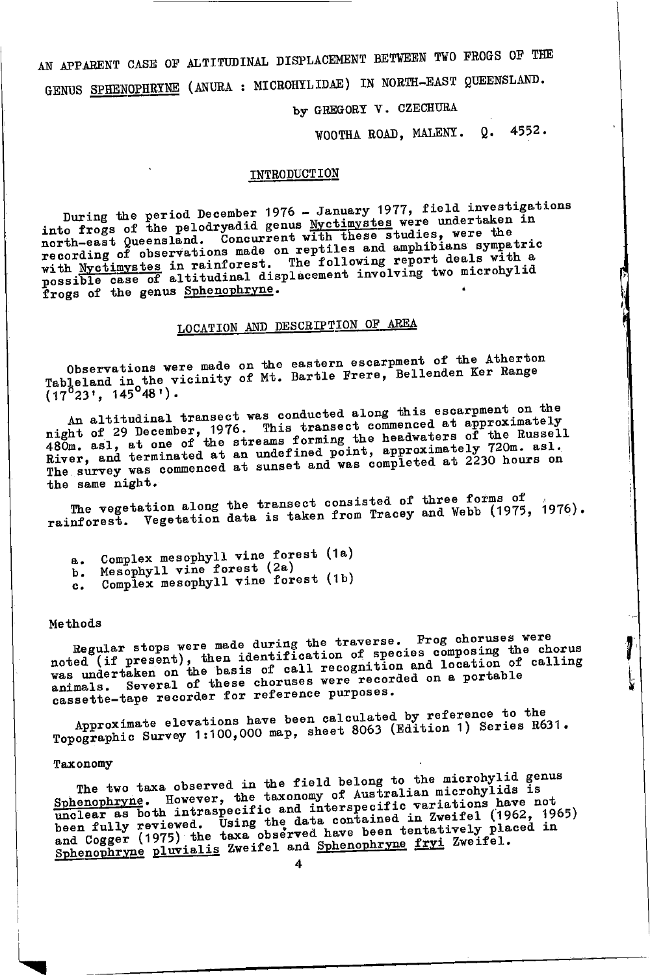AN APPARENT CASE OF ALTITUDINAL DISPLACEMENT BETWEEN TWO FROGS OF THE GENUS SPHENOPHRINE (ANURA : MICROHILIDAE) IN NORTH-EAST QUEENSLAND.

by GREGORY V. CZECHURA

WOOTHA ROAD, MALENY. Q. 4552.

#### INTRODUCTION

During the period December 1976 - January 1977, field investigations<br>into frogs of the pelodryadid genus Nyctimystes were undertaken in north-east Queensland. Concurrent with these studies, were the recording of observations made on reptiles and amphibians sympatric with Nyctimystes in rainforest. The following report deals with a possible case of altitudinal displacement involving two microhylid frogs of the genus Sphenophryne.

# LOCATION AND DESCRIPTION OF AREA

Observations were made on the eastern escarpment of the Atherton Tableland in the vicinity of Mt. Bartle Frere, Bellenden Ker Range  $(17^923^1, 145^948^1)$ .

An altitudinal transect was conducted along this escarpment on the might of 29 December, 1976. This transect commenced at approximately 480m. asl, at one of the streams forming the headwaters of the Russell River, and terminated at an undefined point, approximately 720m. asl.<br>The survey was commenced at sunset and was completed at 2230 hours on the same night.

The vegetation along the transect consisted of three forms of rainforest. Vegetation data is taken from Tracey and Webb (1975, 1976).

- Complex mesophyll vine forest (1a)  $a.$
- Mesophyll vine forest (2a) ъ.
- Complex mesophyll vine forest (1b)  $c_{\bullet}$

#### **Methods**

Regular stops were made during the traverse. Frog choruses were noted (if present), then identification of species composing the chorus<br>was undertaken on the basis of call recognition and location of calling<br>animals. Several of these choruses were recorded on a portable<br>nearly several cassette-tape recorder for reference purposes.

Approximate elevations have been calculated by reference to the Topographic Survey 1:100,000 map, sheet 8063 (Edition 1) Series R631.

# Taxonomy

The two taxa observed in the field belong to the microhylid genus Sphenophryne. However, the taxonomy of Australian microhylids is maclear as both intraspecific and interspecific variations have not been fully reviewed. Using the data contained in Zweifel (1962, 1965)<br>and Cogger (1975) the taxa observed have been tentatively placed in<br>and Cogger (1975) the taxa observed have been tentatively placed in Sphenophryne pluvialis Zweifel and Sphenophryne fryi Zweifel.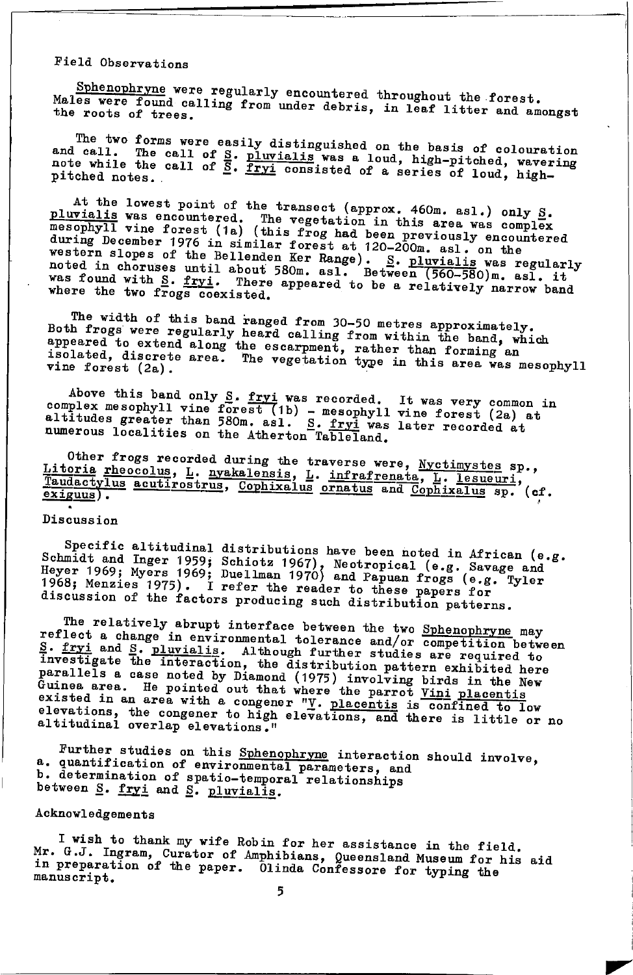# Field Observations

Sphenophryne were regularly encountered throughout the forest. Males were found calling from under debris, in leaf litter and amongst the roots of trees.

The two forms were easily distinguished on the basis of colouration and call. The call of S. pluvialis was a loud, high-pitched, wavering<br>note while the call of S. fryl consisted of a series of loud, high-

At the lowest point of the transect (approx. 460m. asl.) only  $\underline{S}$ . pluvialis was encountered. The vegetation in this area was complex<br>mesophyll vine forest (1a) (this frog had been previously encountered during December 1976 in similar forest at 120-200m. asl. on the western slopes of the Bellenden Ker Range). S. <u>pluvialis</u> was regularly noted in choruses until about 580m. as1. Between (560-580)m. as1. it was found with S. fryi. There appeared to be a relatively narrow band where the two frogs coexisted.

The width of this band ranged from 30-50 metres approximately. Both frogs were regularly heard calling from within the band, which appeared to extend along the escarpment, rather than forming an isolated, discrete area. The vegetation type in this area was mesophyll vine forest (2a).

Above this band only S. fryi was recorded. It was very common in complex mesophyll vine forest (1b) - mesophyll vine forest (2a) at altitudes greater than 580m. asl. S. fryi was later recorded at numerous localities on the Atherton Tableland.

Other frogs recorded during the traverse were, Nyctimystes sp., Litoria rheocolus, L. nyakalensis, L. infrafrenata, L. lesueuri, Taudactylus acutirostrus, Cophixalus ornatus and Cophixalus sp. (cf.  $\frac{exiguus}{.}$ 

#### Discussion

Specific altitudinal distributions have been noted in African (e.g. Specific and Inger 1959; Schiotz 1967), Neotropical (e.g. Savage and Heyer 1969; Nyers 1969; Duellman 1970) and Papuan frogs (e.g. Tyler 1968; Menzies 1975). Duellman 1970 and Papuan frogs (e.g. Tyler 1968; Menzies 1975).

The relatively abrupt interface between the two Sphenophryne may reflect a change in environmental tolerance and/or competition between reflect a change in environmental tolerance and/or competition over.<br>  $\frac{S}{n}$ . fryi and S. pluvialis. Although further studies are required to<br>
investigate the interaction, the distribution pattern exhibited here<br>
inves elevations, the congener to high elevations, and there is little or no altitudinal overlap elevations."

Further studies on this Sphenophryne interaction should involve, a. quantification of environmental parameters, and b. determination of spatio-temporal relationships between S. fryi and S. pluvialls.

# Acknowledgements

I wish to thank my wife Robin for her assistance in the field. Mr. G.J. Ingram, Curator of Amphibians, Queensland Museum for his aid in preparation of the paper. Olinda Confessore for typing the manuscript.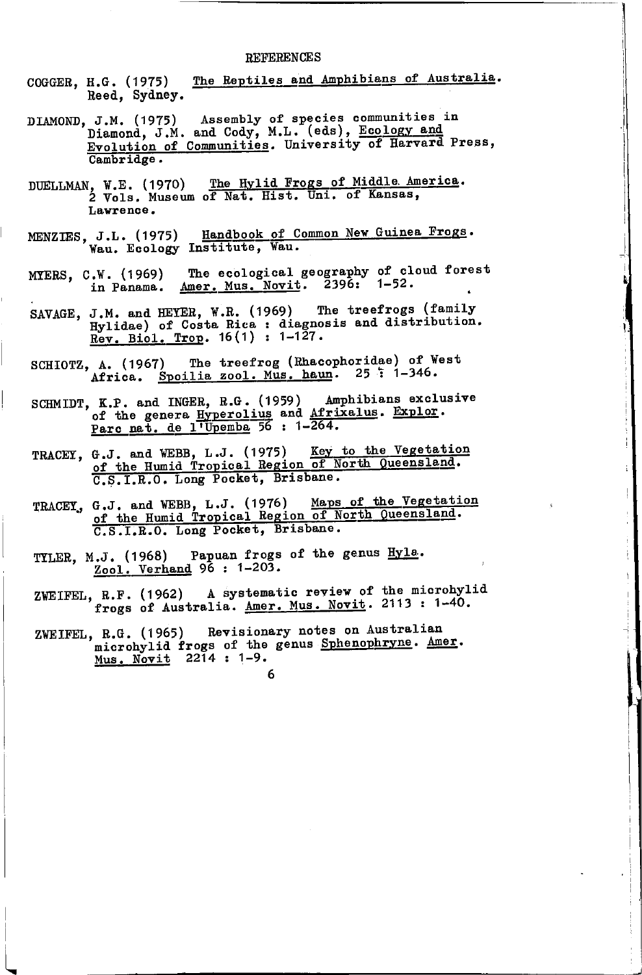#### **REFERENCES**

- The Reptiles and Amphibians of Australia. COGGER, H.G. (1975) Reed, Sydney.
- J.M. (1975) Assembly of species communities in<br>Diamond, J.M. and Cody, M.L. (eds), Ecology and DIAMOND, J.M. (1975) Evolution of Communities. University of Harvard Press, Cambridge.
- DUELLMAN, W.E. (1970) The Hylid Frogs of Middle America.<br>2 Vols. Museum of Nat. Hist. Uni. of Kansas, Lawrence.
- Handbook of Common New Guinea Frogs. MENZIES, J.L. (1975) Handbook of C<br>Wau. Ecology Institute, Wau.
- W. (1969) The ecological geography of cloud forest<br>in Panama. Amer. Mus. Novit. 2396: 1-52. MYERS, C.W. (1969)
- SAVAGE, J.M. and HEYER, W.R. (1969) The treefrogs (family Hylidae) of Costa Rica : diagnosis and distribution.<br>Rev. Biol. Trop. 16(1) : 1-127.
- The treefrog (Rhacophoridae) of West SCHIOTZ, A. (1967) Africa. Spoilia zool. Mus. haun. 25: 1-346.
- SCHMIDT, K.P. and INGER, R.G. (1959) Amphibians exclusive of the genera Hyperolius and Afrixalus. Explor. Parc nat. de l'Upemba 56 : 1-264.
- TRACET, G.J. and WEBB, L.J. (1975) Key to the Vegetation of the Humid Tropical Region of North Queensland. C.S.I.R.O. Long Pocket, Brisbane.
- TRACEY, G.J. and WEBB, L.J. (1976) Maps of the Vegetation of the Humid Tropical Region of North Queensland. C.S.I.R.O. Long Pocket, Brisbane.
- TILER, M.J. (1968) Papuan frogs of the genus Hyla. Zool. Verhand 96 : 1-203.
- ZWEIFEL, R.F. (1962) A systematic review of the microhylid<br>frogs of Australia. <u>Amer. Mus. Novit</u>. 2113: 1-40.

6

ZWEIFEL, R.G. (1965) Revisionary notes on Australian microhylid frogs of the genus Sphenophryne. Amer. Mus. Novit 2214 : 1-9.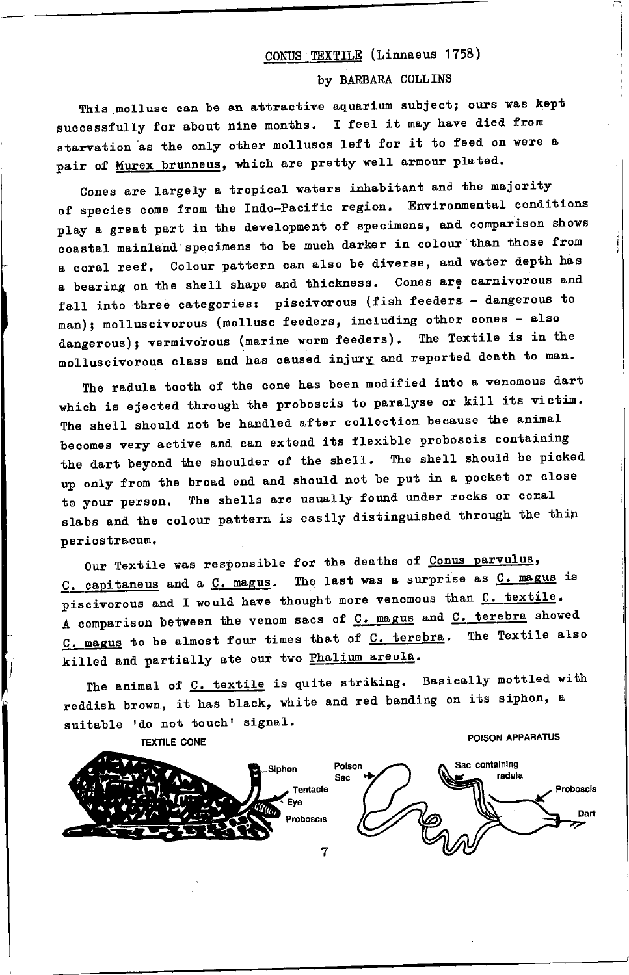# CONUS TEXTILE (Linnaeus 1758)

#### by BARBARA COLLINS

This mollusc can be an attractive aquarium subject; ours was kept successfully for about nine months. I feel it may have died from starvation as the only other molluscs left for it to feed on were a pair of Murex brunneus, which are pretty well armour plated.

Cones are largely a tropical waters inhabitant and the majority of species come from the Indo-Pacific region. Environmental conditions play a great part in the development of specimens, and comparison shows coastal mainland specimens to be much darker in colour than those from a coral reef. Colour pattern can also be diverse, and water depth has a bearing on the shell shape and thickness. Cones are carnivorous and fall into three categories: piscivorous (fish feeders - dangerous to man); molluscivorous (mollusc feeders, including other cones - also dangerous); vermivorous (marine worm feeders). The Textile is in the molluscivorous class and has caused injury and reported death to man.

The radula tooth of the cone has been modified into a venomous dart which is ejected through the proboscis to paralyse or kill its victim. The shell should not be handled after collection because the animal becomes very active and can extend its flexible proboscis containing the dart beyond the shoulder of the shell. The shell should be picked up only from the broad end and should not be put in a pocket or close to your person. The shells are usually found under rocks or coral slabs and the colour pattern is easily distinguished through the thin periostracum.

Our Textile was responsible for the deaths of Conus parvulus,  $C.$  capitaneus and a  $C.$  magus. The last was a surprise as  $C.$  magus is piscivorous and I would have thought more venomous than C. textile. A comparison between the venom sacs of  $C$ . magus and  $C$ . terebra showed C. magus to be almost four times that of C. terebra. The Textile also killed and partially ate our two Phalium areola.

The animal of C. textile is quite striking. Basically mottled with reddish brown, it has black, white and red banding on its siphon, a suitable 'do not touch' signal.

**TEXTILE CONE** 

POISON APPARATUS